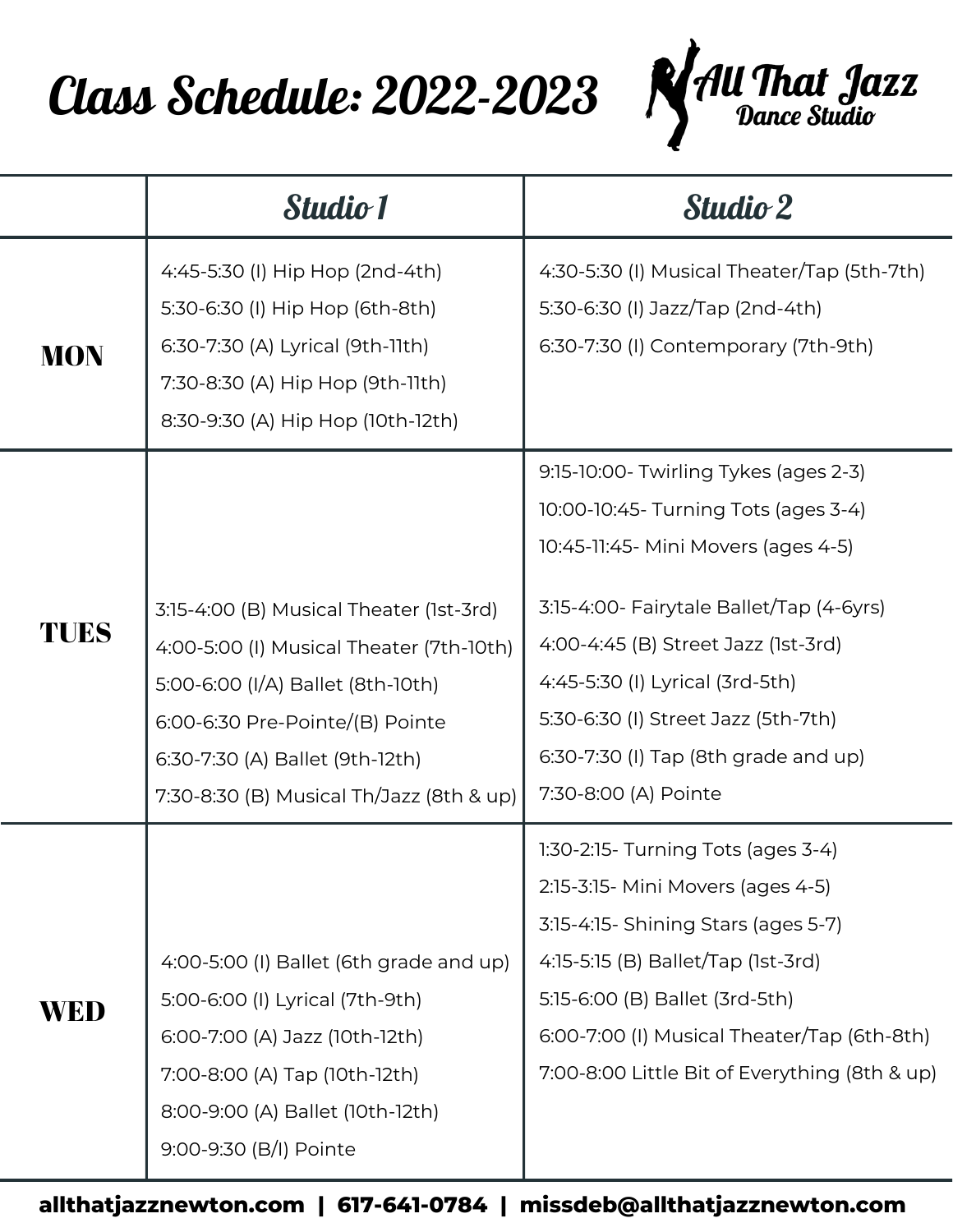

|            | <b>Studio 1</b>                                                                                                                                                                                                                            | <b>Studio 2</b>                                                                                                                                                                                                                                                                                                                                   |
|------------|--------------------------------------------------------------------------------------------------------------------------------------------------------------------------------------------------------------------------------------------|---------------------------------------------------------------------------------------------------------------------------------------------------------------------------------------------------------------------------------------------------------------------------------------------------------------------------------------------------|
| <b>MON</b> | 4:45-5:30 (I) Hip Hop (2nd-4th)<br>5:30-6:30 (I) Hip Hop (6th-8th)<br>6:30-7:30 (A) Lyrical (9th-11th)<br>7:30-8:30 (A) Hip Hop (9th-11th)<br>8:30-9:30 (A) Hip Hop (10th-12th)                                                            | 4:30-5:30 (I) Musical Theater/Tap (5th-7th)<br>5:30-6:30 (I) Jazz/Tap (2nd-4th)<br>6:30-7:30 (I) Contemporary (7th-9th)                                                                                                                                                                                                                           |
| TUES       | 3:15-4:00 (B) Musical Theater (1st-3rd)<br>4:00-5:00 (I) Musical Theater (7th-10th)<br>5:00-6:00 (I/A) Ballet (8th-10th)<br>6:00-6:30 Pre-Pointe/(B) Pointe<br>6:30-7:30 (A) Ballet (9th-12th)<br>7:30-8:30 (B) Musical Th/Jazz (8th & up) | 9:15-10:00- Twirling Tykes (ages 2-3)<br>10:00-10:45- Turning Tots (ages 3-4)<br>10:45-11:45- Mini Movers (ages 4-5)<br>3:15-4:00- Fairytale Ballet/Tap (4-6yrs)<br>4:00-4:45 (B) Street Jazz (1st-3rd)<br>4:45-5:30 (I) Lyrical (3rd-5th)<br>5:30-6:30 (I) Street Jazz (5th-7th)<br>6:30-7:30 (I) Tap (8th grade and up)<br>7:30-8:00 (A) Pointe |
| WED        | 4:00-5:00 (I) Ballet (6th grade and up)<br>5:00-6:00 (I) Lyrical (7th-9th)<br>6:00-7:00 (A) Jazz (10th-12th)<br>7:00-8:00 (A) Tap (10th-12th)<br>8:00-9:00 (A) Ballet (10th-12th)<br>9:00-9:30 (B/I) Pointe                                | 1:30-2:15- Turning Tots (ages 3-4)<br>2:15-3:15- Mini Movers (ages 4-5)<br>3:15-4:15- Shining Stars (ages 5-7)<br>4:15-5:15 (B) Ballet/Tap (1st-3rd)<br>5:15-6:00 (B) Ballet (3rd-5th)<br>6:00-7:00 (I) Musical Theater/Tap (6th-8th)<br>7:00-8:00 Little Bit of Everything (8th & up)                                                            |